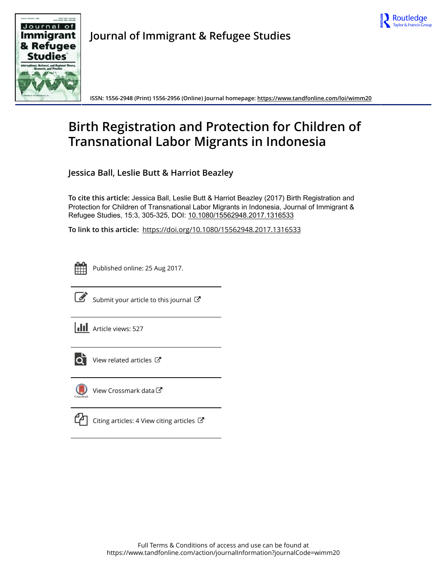



**Journal of Immigrant & Refugee Studies**

**ISSN: 1556-2948 (Print) 1556-2956 (Online) Journal homepage:<https://www.tandfonline.com/loi/wimm20>**

# **Birth Registration and Protection for Children of Transnational Labor Migrants in Indonesia**

**Jessica Ball, Leslie Butt & Harriot Beazley**

**To cite this article:** Jessica Ball, Leslie Butt & Harriot Beazley (2017) Birth Registration and Protection for Children of Transnational Labor Migrants in Indonesia, Journal of Immigrant & Refugee Studies, 15:3, 305-325, DOI: [10.1080/15562948.2017.1316533](https://www.tandfonline.com/action/showCitFormats?doi=10.1080/15562948.2017.1316533)

**To link to this article:** <https://doi.org/10.1080/15562948.2017.1316533>



Published online: 25 Aug 2017.



 $\overrightarrow{S}$  [Submit your article to this journal](https://www.tandfonline.com/action/authorSubmission?journalCode=wimm20&show=instructions)  $\overrightarrow{S}$ 

**III** Article views: 527



[View related articles](https://www.tandfonline.com/doi/mlt/10.1080/15562948.2017.1316533)  $\mathbb{Z}$ 



[View Crossmark data](http://crossmark.crossref.org/dialog/?doi=10.1080/15562948.2017.1316533&domain=pdf&date_stamp=2017-08-25) $\mathbb{Z}$ 

[Citing articles: 4 View citing articles](https://www.tandfonline.com/doi/citedby/10.1080/15562948.2017.1316533#tabModule)  $\mathbb{Z}$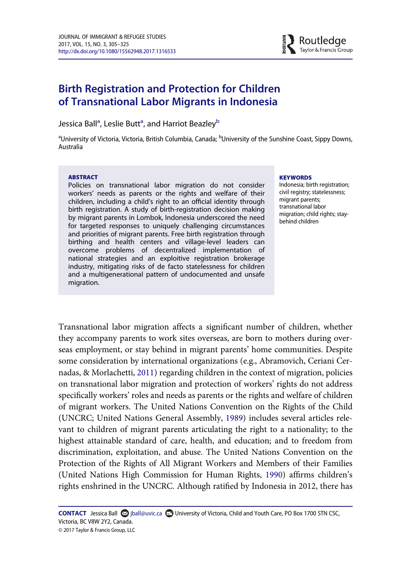

# Birth Registration and Protection for Children of Transnational Labor Migrants in Indonesia

Jessic[a](#page-1-0) Ball<sup>a</sup>, Leslie Butt<sup>a</sup>, and Harriot Beazley<sup>[b](#page-1-0)</sup>

<span id="page-1-0"></span><sup>a</sup>University of Victoria, Victoria, British Columbia, Canada; <sup>b</sup>University of the Sunshine Coast, Sippy Downs, Australia

#### ABSTRACT

Policies on transnational labor migration do not consider workers' needs as parents or the rights and welfare of their children, including a child's right to an official identity through birth registration. A study of birth-registration decision making by migrant parents in Lombok, Indonesia underscored the need for targeted responses to uniquely challenging circumstances and priorities of migrant parents. Free birth registration through birthing and health centers and village-level leaders can overcome problems of decentralized implementation of national strategies and an exploitive registration brokerage industry, mitigating risks of de facto statelessness for children and a multigenerational pattern of undocumented and unsafe migration.

#### **KEYWORDS**

Indonesia; birth registration; civil registry; statelessness; migrant parents; transnational labor migration; child rights; staybehind children

Transnational labor migration affects a significant number of children, whether they accompany parents to work sites overseas, are born to mothers during overseas employment, or stay behind in migrant parents' home communities. Despite some consideration by international organizations (e.g., Abramovich, Ceriani Cernadas, & Morlachetti, [2011](#page-18-0)) regarding children in the context of migration, policies on transnational labor migration and protection of workers' rights do not address specifically workers' roles and needs as parents or the rights and welfare of children of migrant workers. The United Nations Convention on the Rights of the Child (UNCRC; United Nations General Assembly, [1989\)](#page-20-0) includes several articles relevant to children of migrant parents articulating the right to a nationality; to the highest attainable standard of care, health, and education; and to freedom from discrimination, exploitation, and abuse. The United Nations Convention on the Protection of the Rights of All Migrant Workers and Members of their Families (United Nations High Commission for Human Rights, [1990](#page-20-1)) affirms children's rights enshrined in the UNCRC. Although ratified by Indonesia in 2012, there has

**CONTACT** Jessica Ball  $\Omega$  [jball@uvic.ca](mailto:jball@uvic.ca)  $\Omega$  University of Victoria, Child and Youth Care, PO Box 1700 STN CSC, Victoria, BC V8W 2Y2, Canada.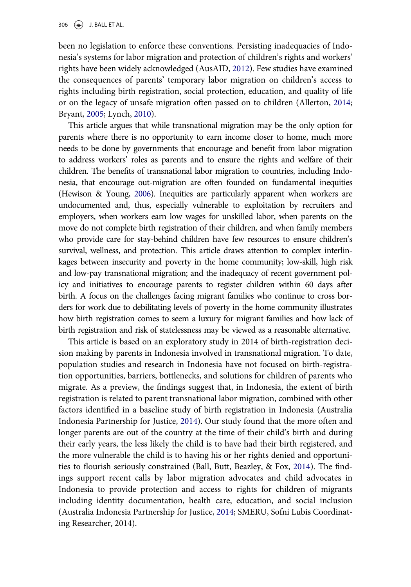306  $\left(\bigstar\right)$  J. BALL ET AL.

been no legislation to enforce these conventions. Persisting inadequacies of Indonesia's systems for labor migration and protection of children's rights and workers' rights have been widely acknowledged (AusAID, [2012\)](#page-18-1). Few studies have examined the consequences of parents' temporary labor migration on children's access to rights including birth registration, social protection, education, and quality of life or on the legacy of unsafe migration often passed on to children (Allerton, [2014;](#page-18-2) Bryant, [2005](#page-19-0); Lynch, [2010](#page-20-2)).

This article argues that while transnational migration may be the only option for parents where there is no opportunity to earn income closer to home, much more needs to be done by governments that encourage and benefit from labor migration to address workers' roles as parents and to ensure the rights and welfare of their children. The benefits of transnational labor migration to countries, including Indonesia, that encourage out-migration are often founded on fundamental inequities (Hewison & Young, [2006\)](#page-19-1). Inequities are particularly apparent when workers are undocumented and, thus, especially vulnerable to exploitation by recruiters and employers, when workers earn low wages for unskilled labor, when parents on the move do not complete birth registration of their children, and when family members who provide care for stay-behind children have few resources to ensure children's survival, wellness, and protection. This article draws attention to complex interlinkages between insecurity and poverty in the home community; low-skill, high risk and low-pay transnational migration; and the inadequacy of recent government policy and initiatives to encourage parents to register children within 60 days after birth. A focus on the challenges facing migrant families who continue to cross borders for work due to debilitating levels of poverty in the home community illustrates how birth registration comes to seem a luxury for migrant families and how lack of birth registration and risk of statelessness may be viewed as a reasonable alternative.

This article is based on an exploratory study in 2014 of birth-registration decision making by parents in Indonesia involved in transnational migration. To date, population studies and research in Indonesia have not focused on birth-registration opportunities, barriers, bottlenecks, and solutions for children of parents who migrate. As a preview, the findings suggest that, in Indonesia, the extent of birth registration is related to parent transnational labor migration, combined with other factors identified in a baseline study of birth registration in Indonesia (Australia Indonesia Partnership for Justice, [2014](#page-18-3)). Our study found that the more often and longer parents are out of the country at the time of their child's birth and during their early years, the less likely the child is to have had their birth registered, and the more vulnerable the child is to having his or her rights denied and opportunities to flourish seriously constrained (Ball, Butt, Beazley, & Fox, [2014\)](#page-18-4). The findings support recent calls by labor migration advocates and child advocates in Indonesia to provide protection and access to rights for children of migrants including identity documentation, health care, education, and social inclusion (Australia Indonesia Partnership for Justice, [2014;](#page-18-3) SMERU, Sofni Lubis Coordinating Researcher, 2014).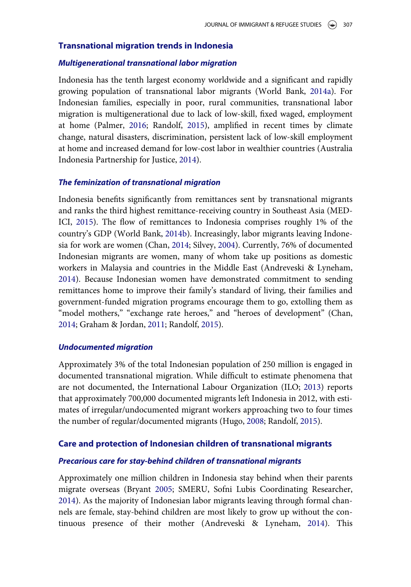# Transnational migration trends in Indonesia

#### Multigenerational transnational labor migration

Indonesia has the tenth largest economy worldwide and a significant and rapidly growing population of transnational labor migrants (World Bank, [2014a\)](#page-21-0). For Indonesian families, especially in poor, rural communities, transnational labor migration is multigenerational due to lack of low-skill, fixed waged, employment at home (Palmer, [2016](#page-20-3); Randolf, [2015\)](#page-20-4), amplified in recent times by climate change, natural disasters, discrimination, persistent lack of low-skill employment at home and increased demand for low-cost labor in wealthier countries (Australia Indonesia Partnership for Justice, [2014\)](#page-18-3).

#### The feminization of transnational migration

Indonesia benefits significantly from remittances sent by transnational migrants and ranks the third highest remittance-receiving country in Southeast Asia (MED-ICI, [2015](#page-20-5)). The flow of remittances to Indonesia comprises roughly 1% of the country's GDP (World Bank, [2014b](#page-21-1)). Increasingly, labor migrants leaving Indonesia for work are women (Chan, [2014;](#page-19-2) Silvey, [2004](#page-20-6)). Currently, 76% of documented Indonesian migrants are women, many of whom take up positions as domestic workers in Malaysia and countries in the Middle East (Andreveski & Lyneham, [2014\)](#page-18-5). Because Indonesian women have demonstrated commitment to sending remittances home to improve their family's standard of living, their families and government-funded migration programs encourage them to go, extolling them as "model mothers," "exchange rate heroes," and "heroes of development" (Chan, [2014;](#page-19-2) Graham & Jordan, [2011](#page-19-3); Randolf, [2015\)](#page-20-4).

#### Undocumented migration

Approximately 3% of the total Indonesian population of 250 million is engaged in documented transnational migration. While difficult to estimate phenomena that are not documented, the International Labour Organization (ILO; [2013](#page-19-4)) reports that approximately 700,000 documented migrants left Indonesia in 2012, with estimates of irregular/undocumented migrant workers approaching two to four times the number of regular/documented migrants (Hugo, [2008](#page-19-5); Randolf, [2015](#page-20-4)).

#### Care and protection of Indonesian children of transnational migrants

#### Precarious care for stay-behind children of transnational migrants

Approximately one million children in Indonesia stay behind when their parents migrate overseas (Bryant [2005](#page-19-0); SMERU, Sofni Lubis Coordinating Researcher, [2014\)](#page-20-7). As the majority of Indonesian labor migrants leaving through formal channels are female, stay-behind children are most likely to grow up without the continuous presence of their mother (Andreveski & Lyneham, [2014](#page-18-5)). This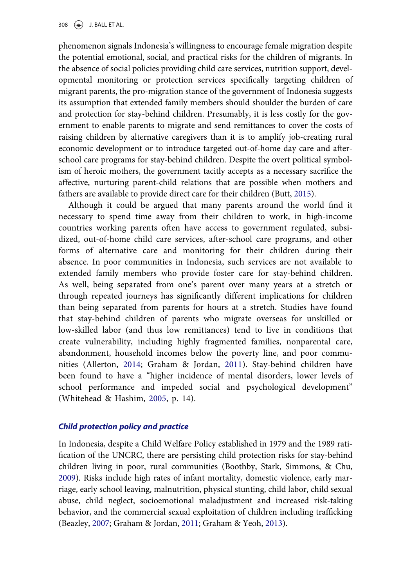phenomenon signals Indonesia's willingness to encourage female migration despite the potential emotional, social, and practical risks for the children of migrants. In the absence of social policies providing child care services, nutrition support, developmental monitoring or protection services specifically targeting children of migrant parents, the pro-migration stance of the government of Indonesia suggests its assumption that extended family members should shoulder the burden of care and protection for stay-behind children. Presumably, it is less costly for the government to enable parents to migrate and send remittances to cover the costs of raising children by alternative caregivers than it is to amplify job-creating rural economic development or to introduce targeted out-of-home day care and afterschool care programs for stay-behind children. Despite the overt political symbolism of heroic mothers, the government tacitly accepts as a necessary sacrifice the affective, nurturing parent-child relations that are possible when mothers and fathers are available to provide direct care for their children (Butt, [2015](#page-19-6)).

Although it could be argued that many parents around the world find it necessary to spend time away from their children to work, in high-income countries working parents often have access to government regulated, subsidized, out-of-home child care services, after-school care programs, and other forms of alternative care and monitoring for their children during their absence. In poor communities in Indonesia, such services are not available to extended family members who provide foster care for stay-behind children. As well, being separated from one's parent over many years at a stretch or through repeated journeys has significantly different implications for children than being separated from parents for hours at a stretch. Studies have found that stay-behind children of parents who migrate overseas for unskilled or low-skilled labor (and thus low remittances) tend to live in conditions that create vulnerability, including highly fragmented families, nonparental care, abandonment, household incomes below the poverty line, and poor communities (Allerton, [2014](#page-18-2); Graham & Jordan, [2011](#page-19-3)). Stay-behind children have been found to have a "higher incidence of mental disorders, lower levels of school performance and impeded social and psychological development" (Whitehead & Hashim, [2005,](#page-21-2) p. 14).

# Child protection policy and practice

In Indonesia, despite a Child Welfare Policy established in 1979 and the 1989 ratification of the UNCRC, there are persisting child protection risks for stay-behind children living in poor, rural communities (Boothby, Stark, Simmons, & Chu, [2009\)](#page-19-7). Risks include high rates of infant mortality, domestic violence, early marriage, early school leaving, malnutrition, physical stunting, child labor, child sexual abuse, child neglect, socioemotional maladjustment and increased risk-taking behavior, and the commercial sexual exploitation of children including trafficking (Beazley, [2007](#page-19-8); Graham & Jordan, [2011;](#page-19-3) Graham & Yeoh, [2013](#page-19-9)).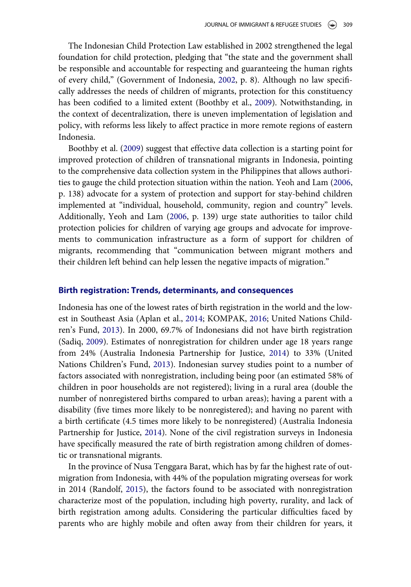The Indonesian Child Protection Law established in 2002 strengthened the legal foundation for child protection, pledging that "the state and the government shall be responsible and accountable for respecting and guaranteeing the human rights of every child," (Government of Indonesia, [2002,](#page-19-10) p. 8). Although no law specifically addresses the needs of children of migrants, protection for this constituency has been codified to a limited extent (Boothby et al., [2009](#page-19-7)). Notwithstanding, in the context of decentralization, there is uneven implementation of legislation and policy, with reforms less likely to affect practice in more remote regions of eastern Indonesia.

Boothby et al. [\(2009](#page-19-7)) suggest that effective data collection is a starting point for improved protection of children of transnational migrants in Indonesia, pointing to the comprehensive data collection system in the Philippines that allows authorities to gauge the child protection situation within the nation. Yeoh and Lam ([2006,](#page-21-3) p. 138) advocate for a system of protection and support for stay-behind children implemented at "individual, household, community, region and country" levels. Additionally, Yeoh and Lam [\(2006,](#page-21-3) p. 139) urge state authorities to tailor child protection policies for children of varying age groups and advocate for improvements to communication infrastructure as a form of support for children of migrants, recommending that "communication between migrant mothers and their children left behind can help lessen the negative impacts of migration."

#### Birth registration: Trends, determinants, and consequences

Indonesia has one of the lowest rates of birth registration in the world and the lowest in Southeast Asia (Aplan et al., [2014](#page-18-6); KOMPAK, [2016](#page-20-8); United Nations Children's Fund, [2013\)](#page-20-9). In 2000, 69.7% of Indonesians did not have birth registration (Sadiq, [2009](#page-20-10)). Estimates of nonregistration for children under age 18 years range from 24% (Australia Indonesia Partnership for Justice, [2014](#page-18-3)) to 33% (United Nations Children's Fund, [2013\)](#page-20-9). Indonesian survey studies point to a number of factors associated with nonregistration, including being poor (an estimated 58% of children in poor households are not registered); living in a rural area (double the number of nonregistered births compared to urban areas); having a parent with a disability (five times more likely to be nonregistered); and having no parent with a birth certificate (4.5 times more likely to be nonregistered) (Australia Indonesia Partnership for Justice, [2014](#page-18-3)). None of the civil registration surveys in Indonesia have specifically measured the rate of birth registration among children of domestic or transnational migrants.

In the province of Nusa Tenggara Barat, which has by far the highest rate of outmigration from Indonesia, with 44% of the population migrating overseas for work in 2014 (Randolf, [2015](#page-20-4)), the factors found to be associated with nonregistration characterize most of the population, including high poverty, rurality, and lack of birth registration among adults. Considering the particular difficulties faced by parents who are highly mobile and often away from their children for years, it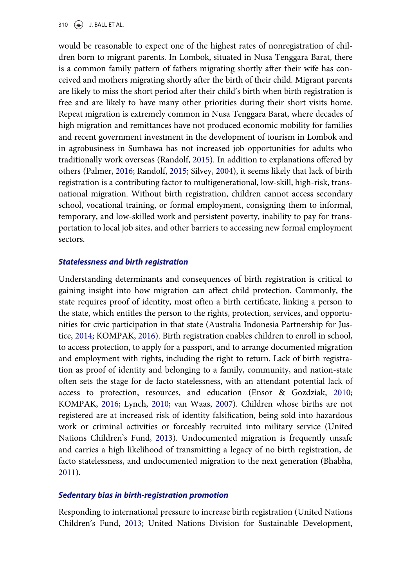310  $\left(\frac{1}{2}\right)$  J. BALL ET AL.

would be reasonable to expect one of the highest rates of nonregistration of children born to migrant parents. In Lombok, situated in Nusa Tenggara Barat, there is a common family pattern of fathers migrating shortly after their wife has conceived and mothers migrating shortly after the birth of their child. Migrant parents are likely to miss the short period after their child's birth when birth registration is free and are likely to have many other priorities during their short visits home. Repeat migration is extremely common in Nusa Tenggara Barat, where decades of high migration and remittances have not produced economic mobility for families and recent government investment in the development of tourism in Lombok and in agrobusiness in Sumbawa has not increased job opportunities for adults who traditionally work overseas (Randolf, [2015](#page-20-4)). In addition to explanations offered by others (Palmer, [2016;](#page-20-3) Randolf, [2015;](#page-20-4) Silvey, [2004\)](#page-20-6), it seems likely that lack of birth registration is a contributing factor to multigenerational, low-skill, high-risk, transnational migration. Without birth registration, children cannot access secondary school, vocational training, or formal employment, consigning them to informal, temporary, and low-skilled work and persistent poverty, inability to pay for transportation to local job sites, and other barriers to accessing new formal employment sectors.

#### Statelessness and birth registration

Understanding determinants and consequences of birth registration is critical to gaining insight into how migration can affect child protection. Commonly, the state requires proof of identity, most often a birth certificate, linking a person to the state, which entitles the person to the rights, protection, services, and opportunities for civic participation in that state (Australia Indonesia Partnership for Justice, [2014](#page-18-3); KOMPAK, [2016](#page-20-8)). Birth registration enables children to enroll in school, to access protection, to apply for a passport, and to arrange documented migration and employment with rights, including the right to return. Lack of birth registration as proof of identity and belonging to a family, community, and nation-state often sets the stage for de facto statelessness, with an attendant potential lack of access to protection, resources, and education (Ensor & Gozdziak, [2010;](#page-19-11) KOMPAK, [2016](#page-20-8); Lynch, [2010;](#page-20-2) van Waas, [2007](#page-21-4)). Children whose births are not registered are at increased risk of identity falsification, being sold into hazardous work or criminal activities or forceably recruited into military service (United Nations Children's Fund, [2013\)](#page-20-9). Undocumented migration is frequently unsafe and carries a high likelihood of transmitting a legacy of no birth registration, de facto statelessness, and undocumented migration to the next generation (Bhabha, [2011\)](#page-19-12).

#### Sedentary bias in birth-registration promotion

Responding to international pressure to increase birth registration (United Nations Children's Fund, [2013;](#page-20-9) United Nations Division for Sustainable Development,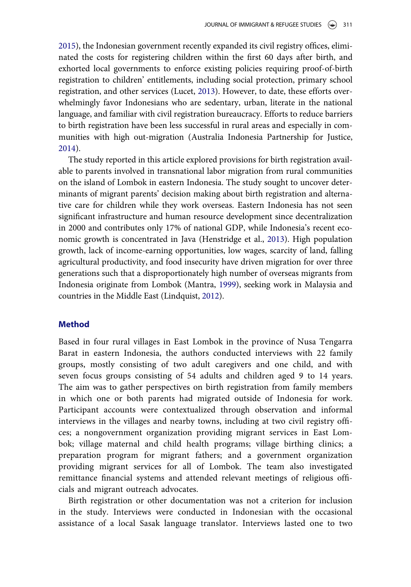[2015\)](#page-20-11), the Indonesian government recently expanded its civil registry offices, eliminated the costs for registering children within the first 60 days after birth, and exhorted local governments to enforce existing policies requiring proof-of-birth registration to children' entitlements, including social protection, primary school registration, and other services (Lucet, [2013\)](#page-20-12). However, to date, these efforts overwhelmingly favor Indonesians who are sedentary, urban, literate in the national language, and familiar with civil registration bureaucracy. Efforts to reduce barriers to birth registration have been less successful in rural areas and especially in communities with high out-migration (Australia Indonesia Partnership for Justice, [2014\)](#page-18-3).

The study reported in this article explored provisions for birth registration available to parents involved in transnational labor migration from rural communities on the island of Lombok in eastern Indonesia. The study sought to uncover determinants of migrant parents' decision making about birth registration and alternative care for children while they work overseas. Eastern Indonesia has not seen significant infrastructure and human resource development since decentralization in 2000 and contributes only 17% of national GDP, while Indonesia's recent economic growth is concentrated in Java (Henstridge et al., [2013\)](#page-19-13). High population growth, lack of income-earning opportunities, low wages, scarcity of land, falling agricultural productivity, and food insecurity have driven migration for over three generations such that a disproportionately high number of overseas migrants from Indonesia originate from Lombok (Mantra, [1999](#page-20-13)), seeking work in Malaysia and countries in the Middle East (Lindquist, [2012\)](#page-20-14).

# Method

Based in four rural villages in East Lombok in the province of Nusa Tengarra Barat in eastern Indonesia, the authors conducted interviews with 22 family groups, mostly consisting of two adult caregivers and one child, and with seven focus groups consisting of 54 adults and children aged 9 to 14 years. The aim was to gather perspectives on birth registration from family members in which one or both parents had migrated outside of Indonesia for work. Participant accounts were contextualized through observation and informal interviews in the villages and nearby towns, including at two civil registry offices; a nongovernment organization providing migrant services in East Lombok; village maternal and child health programs; village birthing clinics; a preparation program for migrant fathers; and a government organization providing migrant services for all of Lombok. The team also investigated remittance financial systems and attended relevant meetings of religious officials and migrant outreach advocates.

Birth registration or other documentation was not a criterion for inclusion in the study. Interviews were conducted in Indonesian with the occasional assistance of a local Sasak language translator. Interviews lasted one to two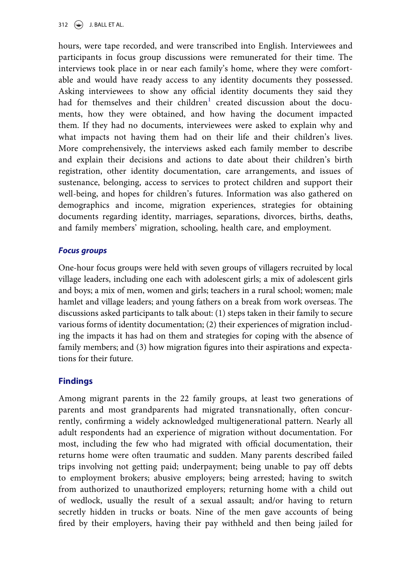hours, were tape recorded, and were transcribed into English. Interviewees and participants in focus group discussions were remunerated for their time. The interviews took place in or near each family's home, where they were comfortable and would have ready access to any identity documents they possessed. Asking interviewees to show any official identity documents they said they had for themselves and their children<sup>[1](#page-18-7)</sup> created discussion about the documents, how they were obtained, and how having the document impacted them. If they had no documents, interviewees were asked to explain why and what impacts not having them had on their life and their children's lives. More comprehensively, the interviews asked each family member to describe and explain their decisions and actions to date about their children's birth registration, other identity documentation, care arrangements, and issues of sustenance, belonging, access to services to protect children and support their well-being, and hopes for children's futures. Information was also gathered on demographics and income, migration experiences, strategies for obtaining documents regarding identity, marriages, separations, divorces, births, deaths, and family members' migration, schooling, health care, and employment.

# Focus groups

One-hour focus groups were held with seven groups of villagers recruited by local village leaders, including one each with adolescent girls; a mix of adolescent girls and boys; a mix of men, women and girls; teachers in a rural school; women; male hamlet and village leaders; and young fathers on a break from work overseas. The discussions asked participants to talk about: (1) steps taken in their family to secure various forms of identity documentation; (2) their experiences of migration including the impacts it has had on them and strategies for coping with the absence of family members; and (3) how migration figures into their aspirations and expectations for their future.

# **Findings**

Among migrant parents in the 22 family groups, at least two generations of parents and most grandparents had migrated transnationally, often concurrently, confirming a widely acknowledged multigenerational pattern. Nearly all adult respondents had an experience of migration without documentation. For most, including the few who had migrated with official documentation, their returns home were often traumatic and sudden. Many parents described failed trips involving not getting paid; underpayment; being unable to pay off debts to employment brokers; abusive employers; being arrested; having to switch from authorized to unauthorized employers; returning home with a child out of wedlock, usually the result of a sexual assault; and/or having to return secretly hidden in trucks or boats. Nine of the men gave accounts of being fired by their employers, having their pay withheld and then being jailed for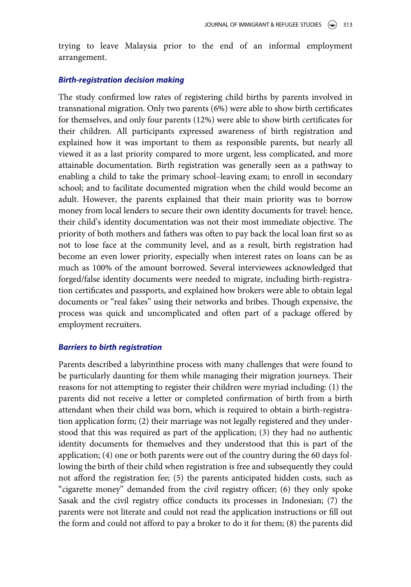trying to leave Malaysia prior to the end of an informal employment arrangement.

# Birth-registration decision making

The study confirmed low rates of registering child births by parents involved in transnational migration. Only two parents (6%) were able to show birth certificates for themselves, and only four parents (12%) were able to show birth certificates for their children. All participants expressed awareness of birth registration and explained how it was important to them as responsible parents, but nearly all viewed it as a last priority compared to more urgent, less complicated, and more attainable documentation. Birth registration was generally seen as a pathway to enabling a child to take the primary school–leaving exam; to enroll in secondary school; and to facilitate documented migration when the child would become an adult. However, the parents explained that their main priority was to borrow money from local lenders to secure their own identity documents for travel: hence, their child's identity documentation was not their most immediate objective. The priority of both mothers and fathers was often to pay back the local loan first so as not to lose face at the community level, and as a result, birth registration had become an even lower priority, especially when interest rates on loans can be as much as 100% of the amount borrowed. Several interviewees acknowledged that forged/false identity documents were needed to migrate, including birth-registration certificates and passports, and explained how brokers were able to obtain legal documents or "real fakes" using their networks and bribes. Though expensive, the process was quick and uncomplicated and often part of a package offered by employment recruiters.

# Barriers to birth registration

Parents described a labyrinthine process with many challenges that were found to be particularly daunting for them while managing their migration journeys. Their reasons for not attempting to register their children were myriad including: (1) the parents did not receive a letter or completed confirmation of birth from a birth attendant when their child was born, which is required to obtain a birth-registration application form; (2) their marriage was not legally registered and they understood that this was required as part of the application; (3) they had no authentic identity documents for themselves and they understood that this is part of the application; (4) one or both parents were out of the country during the 60 days following the birth of their child when registration is free and subsequently they could not afford the registration fee; (5) the parents anticipated hidden costs, such as "cigarette money" demanded from the civil registry officer; (6) they only spoke Sasak and the civil registry office conducts its processes in Indonesian; (7) the parents were not literate and could not read the application instructions or fill out the form and could not afford to pay a broker to do it for them; (8) the parents did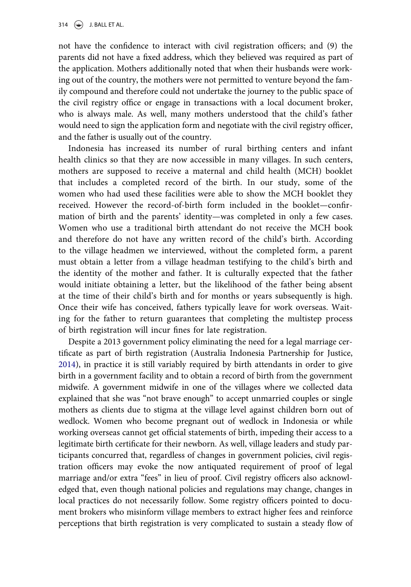not have the confidence to interact with civil registration officers; and (9) the parents did not have a fixed address, which they believed was required as part of the application. Mothers additionally noted that when their husbands were working out of the country, the mothers were not permitted to venture beyond the family compound and therefore could not undertake the journey to the public space of the civil registry office or engage in transactions with a local document broker, who is always male. As well, many mothers understood that the child's father would need to sign the application form and negotiate with the civil registry officer, and the father is usually out of the country.

Indonesia has increased its number of rural birthing centers and infant health clinics so that they are now accessible in many villages. In such centers, mothers are supposed to receive a maternal and child health (MCH) booklet that includes a completed record of the birth. In our study, some of the women who had used these facilities were able to show the MCH booklet they received. However the record-of-birth form included in the booklet—confirmation of birth and the parents' identity—was completed in only a few cases. Women who use a traditional birth attendant do not receive the MCH book and therefore do not have any written record of the child's birth. According to the village headmen we interviewed, without the completed form, a parent must obtain a letter from a village headman testifying to the child's birth and the identity of the mother and father. It is culturally expected that the father would initiate obtaining a letter, but the likelihood of the father being absent at the time of their child's birth and for months or years subsequently is high. Once their wife has conceived, fathers typically leave for work overseas. Waiting for the father to return guarantees that completing the multistep process of birth registration will incur fines for late registration.

Despite a 2013 government policy eliminating the need for a legal marriage certificate as part of birth registration (Australia Indonesia Partnership for Justice, [2014\)](#page-18-3), in practice it is still variably required by birth attendants in order to give birth in a government facility and to obtain a record of birth from the government midwife. A government midwife in one of the villages where we collected data explained that she was "not brave enough" to accept unmarried couples or single mothers as clients due to stigma at the village level against children born out of wedlock. Women who become pregnant out of wedlock in Indonesia or while working overseas cannot get official statements of birth, impeding their access to a legitimate birth certificate for their newborn. As well, village leaders and study participants concurred that, regardless of changes in government policies, civil registration officers may evoke the now antiquated requirement of proof of legal marriage and/or extra "fees" in lieu of proof. Civil registry officers also acknowledged that, even though national policies and regulations may change, changes in local practices do not necessarily follow. Some registry officers pointed to document brokers who misinform village members to extract higher fees and reinforce perceptions that birth registration is very complicated to sustain a steady flow of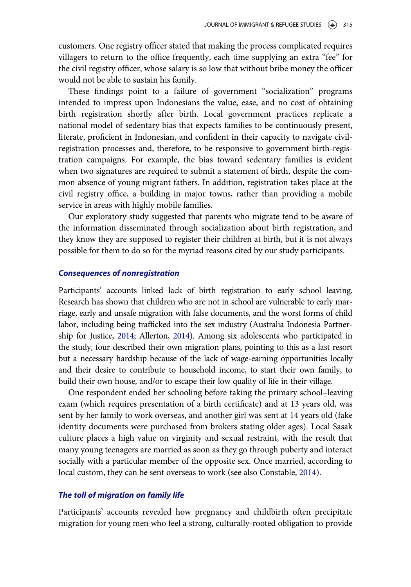customers. One registry officer stated that making the process complicated requires villagers to return to the office frequently, each time supplying an extra "fee" for the civil registry officer, whose salary is so low that without bribe money the officer would not be able to sustain his family.

These findings point to a failure of government "socialization" programs intended to impress upon Indonesians the value, ease, and no cost of obtaining birth registration shortly after birth. Local government practices replicate a national model of sedentary bias that expects families to be continuously present, literate, proficient in Indonesian, and confident in their capacity to navigate civilregistration processes and, therefore, to be responsive to government birth-registration campaigns. For example, the bias toward sedentary families is evident when two signatures are required to submit a statement of birth, despite the common absence of young migrant fathers. In addition, registration takes place at the civil registry office, a building in major towns, rather than providing a mobile service in areas with highly mobile families.

Our exploratory study suggested that parents who migrate tend to be aware of the information disseminated through socialization about birth registration, and they know they are supposed to register their children at birth, but it is not always possible for them to do so for the myriad reasons cited by our study participants.

#### Consequences of nonregistration

Participants' accounts linked lack of birth registration to early school leaving. Research has shown that children who are not in school are vulnerable to early marriage, early and unsafe migration with false documents, and the worst forms of child labor, including being trafficked into the sex industry (Australia Indonesia Partnership for Justice, [2014](#page-18-3); Allerton, [2014\)](#page-18-2). Among six adolescents who participated in the study, four described their own migration plans, pointing to this as a last resort but a necessary hardship because of the lack of wage-earning opportunities locally and their desire to contribute to household income, to start their own family, to build their own house, and/or to escape their low quality of life in their village.

One respondent ended her schooling before taking the primary school–leaving exam (which requires presentation of a birth certificate) and at 13 years old, was sent by her family to work overseas, and another girl was sent at 14 years old (fake identity documents were purchased from brokers stating older ages). Local Sasak culture places a high value on virginity and sexual restraint, with the result that many young teenagers are married as soon as they go through puberty and interact socially with a particular member of the opposite sex. Once married, according to local custom, they can be sent overseas to work (see also Constable, [2014\)](#page-19-14).

#### The toll of migration on family life

Participants' accounts revealed how pregnancy and childbirth often precipitate migration for young men who feel a strong, culturally-rooted obligation to provide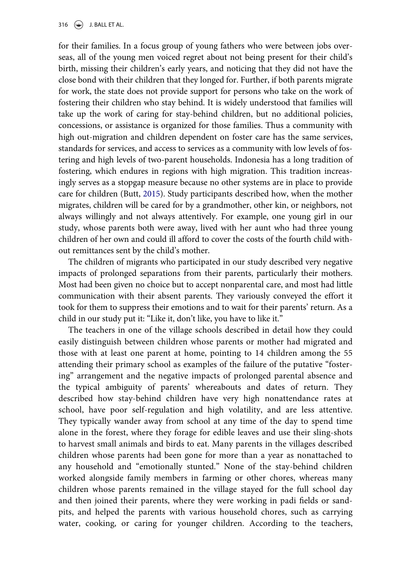316  $\left(\bigcirc\right)$  J. BALL ET AL.

for their families. In a focus group of young fathers who were between jobs overseas, all of the young men voiced regret about not being present for their child's birth, missing their children's early years, and noticing that they did not have the close bond with their children that they longed for. Further, if both parents migrate for work, the state does not provide support for persons who take on the work of fostering their children who stay behind. It is widely understood that families will take up the work of caring for stay-behind children, but no additional policies, concessions, or assistance is organized for those families. Thus a community with high out-migration and children dependent on foster care has the same services, standards for services, and access to services as a community with low levels of fostering and high levels of two-parent households. Indonesia has a long tradition of fostering, which endures in regions with high migration. This tradition increasingly serves as a stopgap measure because no other systems are in place to provide care for children (Butt, [2015](#page-19-6)). Study participants described how, when the mother migrates, children will be cared for by a grandmother, other kin, or neighbors, not always willingly and not always attentively. For example, one young girl in our study, whose parents both were away, lived with her aunt who had three young children of her own and could ill afford to cover the costs of the fourth child without remittances sent by the child's mother.

The children of migrants who participated in our study described very negative impacts of prolonged separations from their parents, particularly their mothers. Most had been given no choice but to accept nonparental care, and most had little communication with their absent parents. They variously conveyed the effort it took for them to suppress their emotions and to wait for their parents' return. As a child in our study put it: "Like it, don't like, you have to like it."

The teachers in one of the village schools described in detail how they could easily distinguish between children whose parents or mother had migrated and those with at least one parent at home, pointing to 14 children among the 55 attending their primary school as examples of the failure of the putative "fostering" arrangement and the negative impacts of prolonged parental absence and the typical ambiguity of parents' whereabouts and dates of return. They described how stay-behind children have very high nonattendance rates at school, have poor self-regulation and high volatility, and are less attentive. They typically wander away from school at any time of the day to spend time alone in the forest, where they forage for edible leaves and use their sling-shots to harvest small animals and birds to eat. Many parents in the villages described children whose parents had been gone for more than a year as nonattached to any household and "emotionally stunted." None of the stay-behind children worked alongside family members in farming or other chores, whereas many children whose parents remained in the village stayed for the full school day and then joined their parents, where they were working in padi fields or sandpits, and helped the parents with various household chores, such as carrying water, cooking, or caring for younger children. According to the teachers,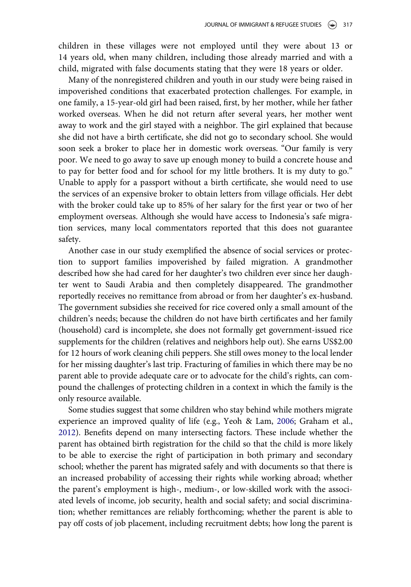children in these villages were not employed until they were about 13 or 14 years old, when many children, including those already married and with a child, migrated with false documents stating that they were 18 years or older.

Many of the nonregistered children and youth in our study were being raised in impoverished conditions that exacerbated protection challenges. For example, in one family, a 15-year-old girl had been raised, first, by her mother, while her father worked overseas. When he did not return after several years, her mother went away to work and the girl stayed with a neighbor. The girl explained that because she did not have a birth certificate, she did not go to secondary school. She would soon seek a broker to place her in domestic work overseas. "Our family is very poor. We need to go away to save up enough money to build a concrete house and to pay for better food and for school for my little brothers. It is my duty to go." Unable to apply for a passport without a birth certificate, she would need to use the services of an expensive broker to obtain letters from village officials. Her debt with the broker could take up to 85% of her salary for the first year or two of her employment overseas. Although she would have access to Indonesia's safe migration services, many local commentators reported that this does not guarantee safety.

Another case in our study exemplified the absence of social services or protection to support families impoverished by failed migration. A grandmother described how she had cared for her daughter's two children ever since her daughter went to Saudi Arabia and then completely disappeared. The grandmother reportedly receives no remittance from abroad or from her daughter's ex-husband. The government subsidies she received for rice covered only a small amount of the children's needs; because the children do not have birth certificates and her family (household) card is incomplete, she does not formally get government-issued rice supplements for the children (relatives and neighbors help out). She earns US\$2.00 for 12 hours of work cleaning chili peppers. She still owes money to the local lender for her missing daughter's last trip. Fracturing of families in which there may be no parent able to provide adequate care or to advocate for the child's rights, can compound the challenges of protecting children in a context in which the family is the only resource available.

Some studies suggest that some children who stay behind while mothers migrate experience an improved quality of life (e.g., Yeoh & Lam, [2006;](#page-21-3) Graham et al., [2012\)](#page-19-15). Benefits depend on many intersecting factors. These include whether the parent has obtained birth registration for the child so that the child is more likely to be able to exercise the right of participation in both primary and secondary school; whether the parent has migrated safely and with documents so that there is an increased probability of accessing their rights while working abroad; whether the parent's employment is high-, medium-, or low-skilled work with the associated levels of income, job security, health and social safety; and social discrimination; whether remittances are reliably forthcoming; whether the parent is able to pay off costs of job placement, including recruitment debts; how long the parent is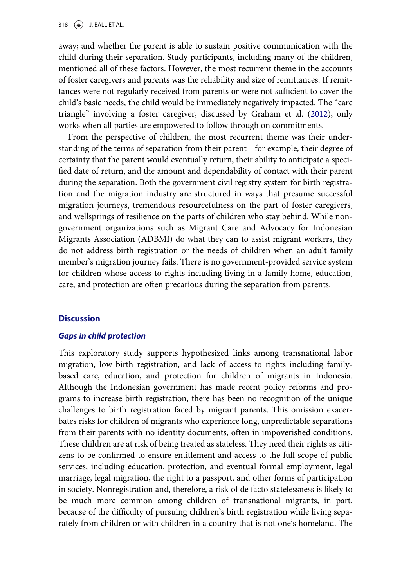away; and whether the parent is able to sustain positive communication with the child during their separation. Study participants, including many of the children, mentioned all of these factors. However, the most recurrent theme in the accounts of foster caregivers and parents was the reliability and size of remittances. If remittances were not regularly received from parents or were not sufficient to cover the child's basic needs, the child would be immediately negatively impacted. The "care triangle" involving a foster caregiver, discussed by Graham et al. ([2012\)](#page-19-15), only works when all parties are empowered to follow through on commitments.

From the perspective of children, the most recurrent theme was their understanding of the terms of separation from their parent—for example, their degree of certainty that the parent would eventually return, their ability to anticipate a specified date of return, and the amount and dependability of contact with their parent during the separation. Both the government civil registry system for birth registration and the migration industry are structured in ways that presume successful migration journeys, tremendous resourcefulness on the part of foster caregivers, and wellsprings of resilience on the parts of children who stay behind. While nongovernment organizations such as Migrant Care and Advocacy for Indonesian Migrants Association (ADBMI) do what they can to assist migrant workers, they do not address birth registration or the needs of children when an adult family member's migration journey fails. There is no government-provided service system for children whose access to rights including living in a family home, education, care, and protection are often precarious during the separation from parents.

# **Discussion**

#### Gaps in child protection

This exploratory study supports hypothesized links among transnational labor migration, low birth registration, and lack of access to rights including familybased care, education, and protection for children of migrants in Indonesia. Although the Indonesian government has made recent policy reforms and programs to increase birth registration, there has been no recognition of the unique challenges to birth registration faced by migrant parents. This omission exacerbates risks for children of migrants who experience long, unpredictable separations from their parents with no identity documents, often in impoverished conditions. These children are at risk of being treated as stateless. They need their rights as citizens to be confirmed to ensure entitlement and access to the full scope of public services, including education, protection, and eventual formal employment, legal marriage, legal migration, the right to a passport, and other forms of participation in society. Nonregistration and, therefore, a risk of de facto statelessness is likely to be much more common among children of transnational migrants, in part, because of the difficulty of pursuing children's birth registration while living separately from children or with children in a country that is not one's homeland. The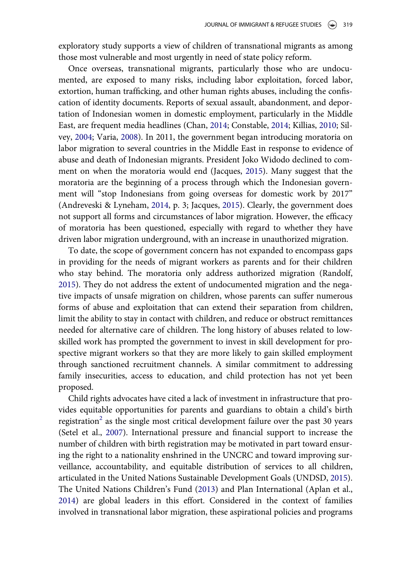exploratory study supports a view of children of transnational migrants as among those most vulnerable and most urgently in need of state policy reform.

Once overseas, transnational migrants, particularly those who are undocumented, are exposed to many risks, including labor exploitation, forced labor, extortion, human trafficking, and other human rights abuses, including the confiscation of identity documents. Reports of sexual assault, abandonment, and deportation of Indonesian women in domestic employment, particularly in the Middle East, are frequent media headlines (Chan, [2014;](#page-19-2) Constable, [2014;](#page-19-14) Killias, [2010](#page-20-15); Silvey, [2004;](#page-20-6) Varia, [2008](#page-21-5)). In 2011, the government began introducing moratoria on labor migration to several countries in the Middle East in response to evidence of abuse and death of Indonesian migrants. President Joko Widodo declined to comment on when the moratoria would end (Jacques, [2015](#page-20-16)). Many suggest that the moratoria are the beginning of a process through which the Indonesian government will "stop Indonesians from going overseas for domestic work by 2017" (Andreveski & Lyneham, [2014,](#page-18-5) p. 3; Jacques, [2015\)](#page-20-16). Clearly, the government does not support all forms and circumstances of labor migration. However, the efficacy of moratoria has been questioned, especially with regard to whether they have driven labor migration underground, with an increase in unauthorized migration.

To date, the scope of government concern has not expanded to encompass gaps in providing for the needs of migrant workers as parents and for their children who stay behind. The moratoria only address authorized migration (Randolf, [2015\)](#page-20-4). They do not address the extent of undocumented migration and the negative impacts of unsafe migration on children, whose parents can suffer numerous forms of abuse and exploitation that can extend their separation from children, limit the ability to stay in contact with children, and reduce or obstruct remittances needed for alternative care of children. The long history of abuses related to lowskilled work has prompted the government to invest in skill development for prospective migrant workers so that they are more likely to gain skilled employment through sanctioned recruitment channels. A similar commitment to addressing family insecurities, access to education, and child protection has not yet been proposed.

Child rights advocates have cited a lack of investment in infrastructure that provides equitable opportunities for parents and guardians to obtain a child's birth registration<sup>[2](#page-18-8)</sup> as the single most critical development failure over the past 30 years (Setel et al., [2007\)](#page-20-17). International pressure and financial support to increase the number of children with birth registration may be motivated in part toward ensuring the right to a nationality enshrined in the UNCRC and toward improving surveillance, accountability, and equitable distribution of services to all children, articulated in the United Nations Sustainable Development Goals (UNDSD, [2015](#page-20-11)). The United Nations Children's Fund ([2013\)](#page-20-9) and Plan International (Aplan et al., [2014\)](#page-18-6) are global leaders in this effort. Considered in the context of families involved in transnational labor migration, these aspirational policies and programs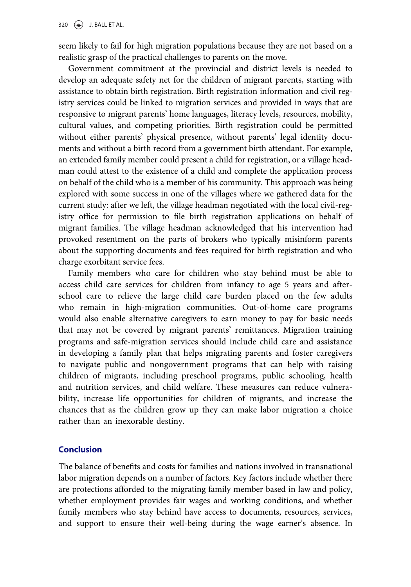seem likely to fail for high migration populations because they are not based on a realistic grasp of the practical challenges to parents on the move.

Government commitment at the provincial and district levels is needed to develop an adequate safety net for the children of migrant parents, starting with assistance to obtain birth registration. Birth registration information and civil registry services could be linked to migration services and provided in ways that are responsive to migrant parents' home languages, literacy levels, resources, mobility, cultural values, and competing priorities. Birth registration could be permitted without either parents' physical presence, without parents' legal identity documents and without a birth record from a government birth attendant. For example, an extended family member could present a child for registration, or a village headman could attest to the existence of a child and complete the application process on behalf of the child who is a member of his community. This approach was being explored with some success in one of the villages where we gathered data for the current study: after we left, the village headman negotiated with the local civil-registry office for permission to file birth registration applications on behalf of migrant families. The village headman acknowledged that his intervention had provoked resentment on the parts of brokers who typically misinform parents about the supporting documents and fees required for birth registration and who charge exorbitant service fees.

Family members who care for children who stay behind must be able to access child care services for children from infancy to age 5 years and afterschool care to relieve the large child care burden placed on the few adults who remain in high-migration communities. Out-of-home care programs would also enable alternative caregivers to earn money to pay for basic needs that may not be covered by migrant parents' remittances. Migration training programs and safe-migration services should include child care and assistance in developing a family plan that helps migrating parents and foster caregivers to navigate public and nongovernment programs that can help with raising children of migrants, including preschool programs, public schooling, health and nutrition services, and child welfare. These measures can reduce vulnerability, increase life opportunities for children of migrants, and increase the chances that as the children grow up they can make labor migration a choice rather than an inexorable destiny.

# Conclusion

The balance of benefits and costs for families and nations involved in transnational labor migration depends on a number of factors. Key factors include whether there are protections afforded to the migrating family member based in law and policy, whether employment provides fair wages and working conditions, and whether family members who stay behind have access to documents, resources, services, and support to ensure their well-being during the wage earner's absence. In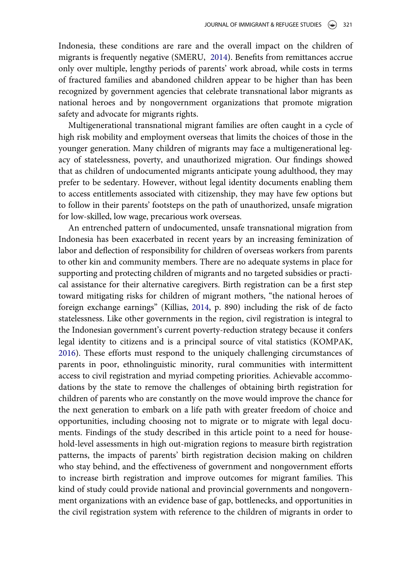Indonesia, these conditions are rare and the overall impact on the children of migrants is frequently negative (SMERU, [2014\)](#page-20-7). Benefits from remittances accrue only over multiple, lengthy periods of parents' work abroad, while costs in terms of fractured families and abandoned children appear to be higher than has been recognized by government agencies that celebrate transnational labor migrants as national heroes and by nongovernment organizations that promote migration safety and advocate for migrants rights.

Multigenerational transnational migrant families are often caught in a cycle of high risk mobility and employment overseas that limits the choices of those in the younger generation. Many children of migrants may face a multigenerational legacy of statelessness, poverty, and unauthorized migration. Our findings showed that as children of undocumented migrants anticipate young adulthood, they may prefer to be sedentary. However, without legal identity documents enabling them to access entitlements associated with citizenship, they may have few options but to follow in their parents' footsteps on the path of unauthorized, unsafe migration for low-skilled, low wage, precarious work overseas.

An entrenched pattern of undocumented, unsafe transnational migration from Indonesia has been exacerbated in recent years by an increasing feminization of labor and deflection of responsibility for children of overseas workers from parents to other kin and community members. There are no adequate systems in place for supporting and protecting children of migrants and no targeted subsidies or practical assistance for their alternative caregivers. Birth registration can be a first step toward mitigating risks for children of migrant mothers, "the national heroes of foreign exchange earnings" (Killias, [2014](#page-20-18), p. 890) including the risk of de facto statelessness. Like other governments in the region, civil registration is integral to the Indonesian government's current poverty-reduction strategy because it confers legal identity to citizens and is a principal source of vital statistics (KOMPAK, [2016\)](#page-20-8). These efforts must respond to the uniquely challenging circumstances of parents in poor, ethnolinguistic minority, rural communities with intermittent access to civil registration and myriad competing priorities. Achievable accommodations by the state to remove the challenges of obtaining birth registration for children of parents who are constantly on the move would improve the chance for the next generation to embark on a life path with greater freedom of choice and opportunities, including choosing not to migrate or to migrate with legal documents. Findings of the study described in this article point to a need for household-level assessments in high out-migration regions to measure birth registration patterns, the impacts of parents' birth registration decision making on children who stay behind, and the effectiveness of government and nongovernment efforts to increase birth registration and improve outcomes for migrant families. This kind of study could provide national and provincial governments and nongovernment organizations with an evidence base of gap, bottlenecks, and opportunities in the civil registration system with reference to the children of migrants in order to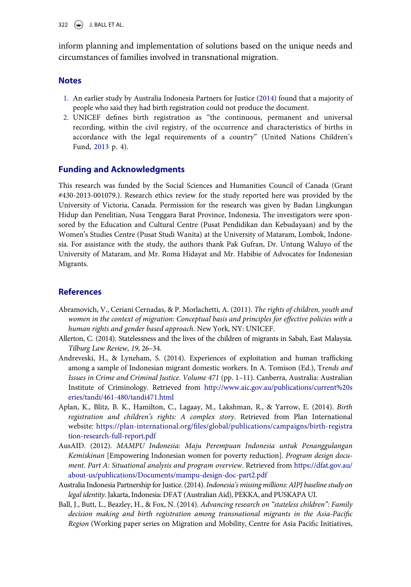$322 \quad \circledast$  J. BALL ET AL.

inform planning and implementation of solutions based on the unique needs and circumstances of families involved in transnational migration.

#### <span id="page-18-7"></span>**Notes**

- 1. An earlier study by Australia Indonesia Partners for Justice ([2014\)](#page-18-3) found that a majority of people who said they had birth registration could not produce the document.
- <span id="page-18-8"></span>2. UNICEF defines birth registration as "the continuous, permanent and universal recording, within the civil registry, of the occurrence and characteristics of births in accordance with the legal requirements of a country" (United Nations Children's Fund, [2013](#page-20-9) p. 4).

# Funding and Acknowledgments

This research was funded by the Social Sciences and Humanities Council of Canada (Grant #430-2013-001079.). Research ethics review for the study reported here was provided by the University of Victoria, Canada. Permission for the research was given by Badan Lingkungan Hidup dan Penelitian, Nusa Tenggara Barat Province, Indonesia. The investigators were sponsored by the Education and Cultural Centre (Pusat Pendidikan dan Kebudayaan) and by the Women's Studies Centre (Pusat Studi Wanita) at the University of Mataram, Lombok, Indonesia. For assistance with the study, the authors thank Pak Gufran, Dr. Untung Waluyo of the University of Mataram, and Mr. Roma Hidayat and Mr. Habibie of Advocates for Indonesian Migrants.

# **References**

- <span id="page-18-0"></span>Abramovich, V., Ceriani Cernadas, & P. Morlachetti, A. (2011). The rights of children, youth and women in the context of migration: Conceptual basis and principles for effective policies with a human rights and gender based approach. New York, NY: UNICEF.
- <span id="page-18-2"></span>Allerton, C. (2014). Statelessness and the lives of the children of migrants in Sabah, East Malaysia. Tilburg Law Review, 19, 26–34.
- <span id="page-18-5"></span>Andreveski, H., & Lyneham, S. (2014). Experiences of exploitation and human trafficking among a sample of Indonesian migrant domestic workers. In A. Tomison (Ed.), Trends and Issues in Crime and Criminal Justice. Volume 471 (pp. 1–11). Canberra, Australia: Australian Institute of Criminology. Retrieved from [http://www.aic.gov.au/publications/current%20s](http://www.aic.gov.au/publications/current%20series/tandi/461-480/tandi471.html) [eries/tandi/461-480/tandi471.html](http://www.aic.gov.au/publications/current%20series/tandi/461-480/tandi471.html)
- <span id="page-18-6"></span>Aplan, K., Blitz, B. K., Hamilton, C., Lagaay, M., Lakshman, R., & Yarrow, E. (2014). Birth registration and children's rights: A complex story. Retrieved from Plan International website: https://plan-international.org/fi[les/global/publications/campaigns/birth-registra](https://plan-international.org/files/global/publications/campaigns/birth-registration-research-full-report.pdf) [tion-research-full-report.pdf](https://plan-international.org/files/global/publications/campaigns/birth-registration-research-full-report.pdf)
- <span id="page-18-1"></span>AusAID. (2012). MAMPU Indonesia: Maju Perempuan Indonesia untuk Penanggulangan Kemiskinan [Empowering Indonesian women for poverty reduction]. Program design document. Part A: Situational analysis and program overview. Retrieved from [https://dfat.gov.au/](https://dfat.gov.au/about-us/publications/Documents/mampu-design-doc-part2.pdf) [about-us/publications/Documents/mampu-design-doc-part2.pdf](https://dfat.gov.au/about-us/publications/Documents/mampu-design-doc-part2.pdf)
- <span id="page-18-3"></span>Australia Indonesia Partnership for Justice. (2014). Indonesia's missing millions: AIPJ baseline study on legal identity. Jakarta, Indonesia: DFAT (Australian Aid), PEKKA, and PUSKAPA UI.
- <span id="page-18-4"></span>Ball, J., Butt, L., Beazley, H., & Fox, N. (2014). Advancing research on "stateless children": Family decision making and birth registration among transnational migrants in the Asia-Pacific Region (Working paper series on Migration and Mobility, Centre for Asia Pacific Initiatives,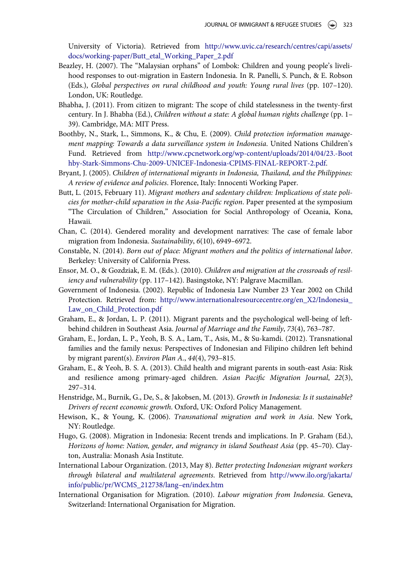University of Victoria). Retrieved from [http://www.uvic.ca/research/centres/capi/assets/](http://www.uvic.ca/research/centres/capi/assets/docs/working-paper/Butt_etal_Working_Paper_2.pdf) [docs/working-paper/Butt\\_etal\\_Working\\_Paper\\_2.pdf](http://www.uvic.ca/research/centres/capi/assets/docs/working-paper/Butt_etal_Working_Paper_2.pdf)

- <span id="page-19-8"></span>Beazley, H. (2007). The "Malaysian orphans" of Lombok: Children and young people's livelihood responses to out-migration in Eastern Indonesia. In R. Panelli, S. Punch, & E. Robson (Eds.), Global perspectives on rural childhood and youth: Young rural lives (pp. 107–120). London, UK: Routledge.
- <span id="page-19-12"></span>Bhabha, J. (2011). From citizen to migrant: The scope of child statelessness in the twenty-first century. In J. Bhabha (Ed.), Children without a state: A global human rights challenge (pp. 1– 39). Cambridge, MA: MIT Press.
- <span id="page-19-7"></span>Boothby, N., Stark, L., Simmons, K., & Chu, E. (2009). Child protection information management mapping: Towards a data surveillance system in Indonesia. United Nations Children's Fund. Retrieved from [http://www.cpcnetwork.org/wp-content/uploads/2014/04/23.-Boot](http://www.cpcnetwork.org/wp-content/uploads/2014/04/23.-Boothby-Stark-Simmons-Chu-2009-UNICEF-Indonesia-CPIMS-FINAL-REPORT-2.pdf) [hby-Stark-Simmons-Chu-2009-UNICEF-Indonesia-CPIMS-FINAL-REPORT-2.pdf.](http://www.cpcnetwork.org/wp-content/uploads/2014/04/23.-Boothby-Stark-Simmons-Chu-2009-UNICEF-Indonesia-CPIMS-FINAL-REPORT-2.pdf)
- <span id="page-19-0"></span>Bryant, J. (2005). Children of international migrants in Indonesia, Thailand, and the Philippines: A review of evidence and policies. Florence, Italy: Innocenti Working Paper.
- <span id="page-19-6"></span>Butt, L. (2015, February 11). Migrant mothers and sedentary children: Implications of state policies for mother-child separation in the Asia-Pacific region. Paper presented at the symposium "The Circulation of Children," Association for Social Anthropology of Oceania, Kona, Hawaii.
- <span id="page-19-2"></span>Chan, C. (2014). Gendered morality and development narratives: The case of female labor migration from Indonesia. Sustainability, 6(10), 6949–6972.
- <span id="page-19-14"></span>Constable, N. (2014). Born out of place: Migrant mothers and the politics of international labor. Berkeley: University of California Press.
- <span id="page-19-11"></span>Ensor, M. O., & Gozdziak, E. M. (Eds.). (2010). Children and migration at the crossroads of resiliency and vulnerability (pp. 117–142). Basingstoke, NY: Palgrave Macmillan.
- <span id="page-19-10"></span>Government of Indonesia. (2002). Republic of Indonesia Law Number 23 Year 2002 on Child Protection. Retrieved from: [http://www.internationalresourcecentre.org/en\\_X2/Indonesia\\_](http://www.internationalresourcecentre.org/en_X2/Indonesia_Law_on_Child_Protection.pdf) [Law\\_on\\_Child\\_Protection.pdf](http://www.internationalresourcecentre.org/en_X2/Indonesia_Law_on_Child_Protection.pdf)
- <span id="page-19-3"></span>Graham, E., & Jordan, L. P. (2011). Migrant parents and the psychological well-being of leftbehind children in Southeast Asia. Journal of Marriage and the Family, 73(4), 763–787.
- <span id="page-19-15"></span>Graham, E., Jordan, L. P., Yeoh, B. S. A., Lam, T., Asis, M., & Su-kamdi. (2012). Transnational families and the family nexus: Perspectives of Indonesian and Filipino children left behind by migrant parent(s). Environ Plan A., 44(4), 793–815.
- <span id="page-19-9"></span>Graham, E., & Yeoh, B. S. A. (2013). Child health and migrant parents in south-east Asia: Risk and resilience among primary-aged children. Asian Pacific Migration Journal, 22(3), 297–314.
- <span id="page-19-13"></span>Henstridge, M., Burnik, G., De, S., & Jakobsen, M. (2013). Growth in Indonesia: Is it sustainable? Drivers of recent economic growth. Oxford, UK: Oxford Policy Management.
- <span id="page-19-1"></span>Hewison, K., & Young, K. (2006). Transnational migration and work in Asia. New York, NY: Routledge.
- <span id="page-19-5"></span>Hugo, G. (2008). Migration in Indonesia: Recent trends and implications. In P. Graham (Ed.), Horizons of home: Nation, gender, and migrancy in island Southeast Asia (pp. 45–70). Clayton, Australia: Monash Asia Institute.
- <span id="page-19-4"></span>International Labour Organization. (2013, May 8). Better protecting Indonesian migrant workers through bilateral and multilateral agreements. Retrieved from [http://www.ilo.org/jakarta/](http://www.ilo.org/jakarta/info/public/pr/WCMS_212738/lang--en/index.htm) [info/public/pr/WCMS\\_212738/lang](http://www.ilo.org/jakarta/info/public/pr/WCMS_212738/lang--en/index.htm)–en/index.htm
- International Organisation for Migration. (2010). Labour migration from Indonesia. Geneva, Switzerland: International Organisation for Migration.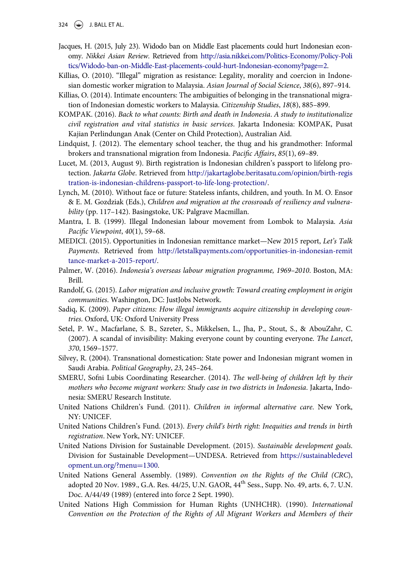- $324 \quad (*)$  J. BALL ET AL.
- <span id="page-20-16"></span>Jacques, H. (2015, July 23). Widodo ban on Middle East placements could hurt Indonesian economy. Nikkei Asian Review. Retrieved from [http://asia.nikkei.com/Politics-Economy/Policy-Poli](http://asia.nikkei.com/Politics-Economy/Policy-Politics/Widodo-ban-on-Middle-East-placements-could-hurt-Indonesian-economy?page=2) [tics/Widodo-ban-on-Middle-East-placements-could-hurt-Indonesian-economy](http://asia.nikkei.com/Politics-Economy/Policy-Politics/Widodo-ban-on-Middle-East-placements-could-hurt-Indonesian-economy?page=2)?[page](http://asia.nikkei.com/Politics-Economy/Policy-Politics/Widodo-ban-on-Middle-East-placements-could-hurt-Indonesian-economy?page=2)=[2.](http://asia.nikkei.com/Politics-Economy/Policy-Politics/Widodo-ban-on-Middle-East-placements-could-hurt-Indonesian-economy?page=2)
- <span id="page-20-15"></span>Killias, O. (2010). "Illegal" migration as resistance: Legality, morality and coercion in Indonesian domestic worker migration to Malaysia. Asian Journal of Social Science, 38(6), 897–914.
- <span id="page-20-18"></span>Killias, O. (2014). Intimate encounters: The ambiguities of belonging in the transnational migration of Indonesian domestic workers to Malaysia. Citizenship Studies, 18(8), 885–899.
- <span id="page-20-8"></span>KOMPAK. (2016). Back to what counts: Birth and death in Indonesia. A study to institutionalize civil registration and vital statistics in basic services. Jakarta Indonesia: KOMPAK, Pusat Kajian Perlindungan Anak (Center on Child Protection), Australian Aid.
- <span id="page-20-14"></span>Lindquist, J. (2012). The elementary school teacher, the thug and his grandmother: Informal brokers and transnational migration from Indonesia. Pacific Affairs, 85(1), 69–89.
- <span id="page-20-12"></span>Lucet, M. (2013, August 9). Birth registration is Indonesian children's passport to lifelong protection. Jakarta Globe. Retrieved from [http://jakartaglobe.beritasatu.com/opinion/birth-regis](http://jakartaglobe.beritasatu.com/opinion/birth-registration-is-indonesian-childrens-passport-to-life-long-protection/) [tration-is-indonesian-childrens-passport-to-life-long-protection/.](http://jakartaglobe.beritasatu.com/opinion/birth-registration-is-indonesian-childrens-passport-to-life-long-protection/)
- <span id="page-20-2"></span>Lynch, M. (2010). Without face or future: Stateless infants, children, and youth. In M. O. Ensor & E. M. Gozdziak (Eds.), Children and migration at the crossroads of resiliency and vulnerability (pp. 117–142). Basingstoke, UK: Palgrave Macmillan.
- <span id="page-20-13"></span>Mantra, I. B. (1999). Illegal Indonesian labour movement from Lombok to Malaysia. Asia Pacific Viewpoint, 40(1), 59–68.
- <span id="page-20-5"></span>MEDICI. (2015). Opportunities in Indonesian remittance market—New 2015 report, Let's Talk Payments. Retrieved from [http://letstalkpayments.com/opportunities-in-indonesian-remit](http://letstalkpayments.com/opportunities-in-indonesian-remittance-market-a-2015-report/) [tance-market-a-2015-report/](http://letstalkpayments.com/opportunities-in-indonesian-remittance-market-a-2015-report/).
- <span id="page-20-3"></span>Palmer, W. (2016). Indonesia's overseas labour migration programme, 1969–2010. Boston, MA: Brill.
- <span id="page-20-4"></span>Randolf, G. (2015). Labor migration and inclusive growth: Toward creating employment in origin communities. Washington, DC: JustJobs Network.
- <span id="page-20-10"></span>Sadiq, K. (2009). Paper citizens: How illegal immigrants acquire citizenship in developing countries. Oxford, UK: Oxford University Press
- <span id="page-20-17"></span>Setel, P. W., Macfarlane, S. B., Szreter, S., Mikkelsen, L., Jha, P., Stout, S., & AbouZahr, C. (2007). A scandal of invisibility: Making everyone count by counting everyone. The Lancet, 370, 1569–1577.
- <span id="page-20-6"></span>Silvey, R. (2004). Transnational domestication: State power and Indonesian migrant women in Saudi Arabia. Political Geography, 23, 245–264.
- <span id="page-20-7"></span>SMERU, Sofni Lubis Coordinating Researcher. (2014). The well-being of children left by their mothers who become migrant workers: Study case in two districts in Indonesia. Jakarta, Indonesia: SMERU Research Institute.
- United Nations Children's Fund. (2011). Children in informal alternative care. New York, NY: UNICEF.
- <span id="page-20-9"></span>United Nations Children's Fund. (2013). Every child's birth right: Inequities and trends in birth registration. New York, NY: UNICEF.
- <span id="page-20-11"></span>United Nations Division for Sustainable Development. (2015). Sustainable development goals. Division for Sustainable Development—UNDESA. Retrieved from [https://sustainabledevel](https://sustainabledevelopment.un.org/?menu=1300) [opment.un.org/?menu](https://sustainabledevelopment.un.org/?menu=1300)=[1300](https://sustainabledevelopment.un.org/?menu=1300).
- <span id="page-20-0"></span>United Nations General Assembly. (1989). Convention on the Rights of the Child (CRC), adopted 20 Nov. 1989., G.A. Res. 44/25, U.N. GAOR, 44<sup>th</sup> Sess., Supp. No. 49, arts. 6, 7. U.N. Doc. A/44/49 (1989) (entered into force 2 Sept. 1990).
- <span id="page-20-1"></span>United Nations High Commission for Human Rights (UNHCHR). (1990). International Convention on the Protection of the Rights of All Migrant Workers and Members of their